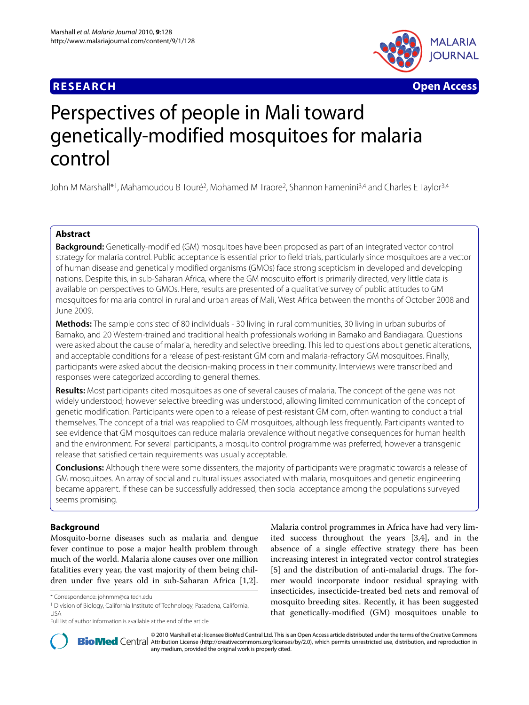## **RESEARCH Open Access**





# Perspectives of people in Mali toward genetically-modified mosquitoes for malaria control

John M Marshall\*1, Mahamoudou B Touré2, Mohamed M Traore2, Shannon Famenini3,4 and Charles E Taylor3,4

## **Abstract**

**Background:** Genetically-modified (GM) mosquitoes have been proposed as part of an integrated vector control strategy for malaria control. Public acceptance is essential prior to field trials, particularly since mosquitoes are a vector of human disease and genetically modified organisms (GMOs) face strong scepticism in developed and developing nations. Despite this, in sub-Saharan Africa, where the GM mosquito effort is primarily directed, very little data is available on perspectives to GMOs. Here, results are presented of a qualitative survey of public attitudes to GM mosquitoes for malaria control in rural and urban areas of Mali, West Africa between the months of October 2008 and June 2009.

**Methods:** The sample consisted of 80 individuals - 30 living in rural communities, 30 living in urban suburbs of Bamako, and 20 Western-trained and traditional health professionals working in Bamako and Bandiagara. Questions were asked about the cause of malaria, heredity and selective breeding. This led to questions about genetic alterations, and acceptable conditions for a release of pest-resistant GM corn and malaria-refractory GM mosquitoes. Finally, participants were asked about the decision-making process in their community. Interviews were transcribed and responses were categorized according to general themes.

**Results:** Most participants cited mosquitoes as one of several causes of malaria. The concept of the gene was not widely understood; however selective breeding was understood, allowing limited communication of the concept of genetic modification. Participants were open to a release of pest-resistant GM corn, often wanting to conduct a trial themselves. The concept of a trial was reapplied to GM mosquitoes, although less frequently. Participants wanted to see evidence that GM mosquitoes can reduce malaria prevalence without negative consequences for human health and the environment. For several participants, a mosquito control programme was preferred; however a transgenic release that satisfied certain requirements was usually acceptable.

**Conclusions:** Although there were some dissenters, the majority of participants were pragmatic towards a release of GM mosquitoes. An array of social and cultural issues associated with malaria, mosquitoes and genetic engineering became apparent. If these can be successfully addressed, then social acceptance among the populations surveyed seems promising.

## **Background**

Mosquito-borne diseases such as malaria and dengue fever continue to pose a major health problem through much of the world. Malaria alone causes over one million fatalities every year, the vast majority of them being children under five years old in sub-Saharan Africa [\[1](#page-10-0)[,2](#page-10-1)].

Malaria control programmes in Africa have had very limited success throughout the years [[3,](#page-10-2)[4\]](#page-10-3), and in the absence of a single effective strategy there has been increasing interest in integrated vector control strategies [[5\]](#page-10-4) and the distribution of anti-malarial drugs. The former would incorporate indoor residual spraying with insecticides, insecticide-treated bed nets and removal of mosquito breeding sites. Recently, it has been suggested that genetically-modified (GM) mosquitoes unable to



2010 Marshall et al; licensee [BioMed](http://www.biomedcentral.com/) Central Ltd. This is an Open Access article distributed under the terms of the Creative Commons (http://creativecommons.org/licenses/by/2.0), which permits unrestricted use, distributio any medium, provided the original work is properly cited.

<sup>\*</sup> Correspondence: johnmm@caltech.edu

<sup>1</sup> Division of Biology, California Institute of Technology, Pasadena, California, USA

Full list of author information is available at the end of the article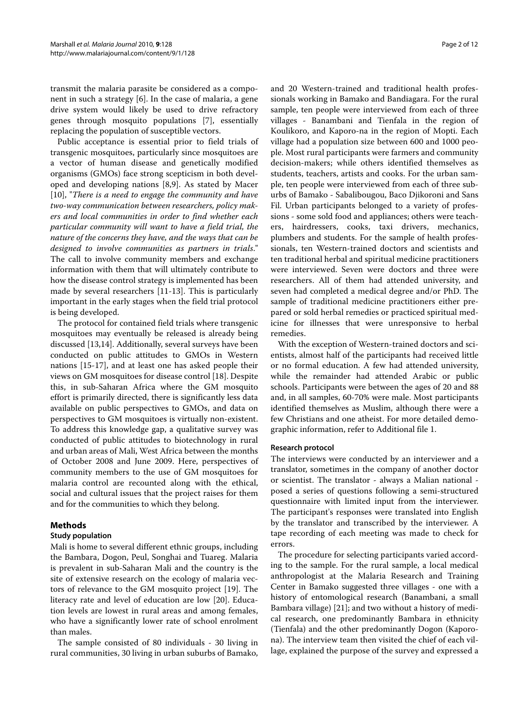transmit the malaria parasite be considered as a component in such a strategy [\[6](#page-10-5)]. In the case of malaria, a gene drive system would likely be used to drive refractory genes through mosquito populations [\[7](#page-11-0)], essentially replacing the population of susceptible vectors.

Public acceptance is essential prior to field trials of transgenic mosquitoes, particularly since mosquitoes are a vector of human disease and genetically modified organisms (GMOs) face strong scepticism in both developed and developing nations [[8,](#page-11-1)[9](#page-11-2)]. As stated by Macer [[10\]](#page-11-3), "*There is a need to engage the community and have two-way communication between researchers, policy makers and local communities in order to find whether each particular community will want to have a field trial, the nature of the concerns they have, and the ways that can be designed to involve communities as partners in trials*." The call to involve community members and exchange information with them that will ultimately contribute to how the disease control strategy is implemented has been made by several researchers [[11](#page-11-4)[-13](#page-11-5)]. This is particularly important in the early stages when the field trial protocol is being developed.

The protocol for contained field trials where transgenic mosquitoes may eventually be released is already being discussed [\[13](#page-11-5),[14](#page-11-6)]. Additionally, several surveys have been conducted on public attitudes to GMOs in Western nations [\[15](#page-11-7)-[17\]](#page-11-8), and at least one has asked people their views on GM mosquitoes for disease control [[18\]](#page-11-9). Despite this, in sub-Saharan Africa where the GM mosquito effort is primarily directed, there is significantly less data available on public perspectives to GMOs, and data on perspectives to GM mosquitoes is virtually non-existent. To address this knowledge gap, a qualitative survey was conducted of public attitudes to biotechnology in rural and urban areas of Mali, West Africa between the months of October 2008 and June 2009. Here, perspectives of community members to the use of GM mosquitoes for malaria control are recounted along with the ethical, social and cultural issues that the project raises for them and for the communities to which they belong.

#### **Methods**

#### **Study population**

Mali is home to several different ethnic groups, including the Bambara, Dogon, Peul, Songhai and Tuareg. Malaria is prevalent in sub-Saharan Mali and the country is the site of extensive research on the ecology of malaria vectors of relevance to the GM mosquito project [[19](#page-11-10)]. The literacy rate and level of education are low [\[20](#page-11-11)]. Education levels are lowest in rural areas and among females, who have a significantly lower rate of school enrolment than males.

The sample consisted of 80 individuals - 30 living in rural communities, 30 living in urban suburbs of Bamako,

and 20 Western-trained and traditional health professionals working in Bamako and Bandiagara. For the rural sample, ten people were interviewed from each of three villages - Banambani and Tienfala in the region of Koulikoro, and Kaporo-na in the region of Mopti. Each village had a population size between 600 and 1000 people. Most rural participants were farmers and community decision-makers; while others identified themselves as students, teachers, artists and cooks. For the urban sample, ten people were interviewed from each of three suburbs of Bamako - Sabalibougou, Baco Djikoroni and Sans Fil. Urban participants belonged to a variety of professions - some sold food and appliances; others were teachers, hairdressers, cooks, taxi drivers, mechanics, plumbers and students. For the sample of health professionals, ten Western-trained doctors and scientists and ten traditional herbal and spiritual medicine practitioners were interviewed. Seven were doctors and three were researchers. All of them had attended university, and seven had completed a medical degree and/or PhD. The sample of traditional medicine practitioners either prepared or sold herbal remedies or practiced spiritual medicine for illnesses that were unresponsive to herbal remedies.

With the exception of Western-trained doctors and scientists, almost half of the participants had received little or no formal education. A few had attended university, while the remainder had attended Arabic or public schools. Participants were between the ages of 20 and 88 and, in all samples, 60-70% were male. Most participants identified themselves as Muslim, although there were a few Christians and one atheist. For more detailed demographic information, refer to Additional file [1](#page-10-6).

#### **Research protocol**

The interviews were conducted by an interviewer and a translator, sometimes in the company of another doctor or scientist. The translator - always a Malian national posed a series of questions following a semi-structured questionnaire with limited input from the interviewer. The participant's responses were translated into English by the translator and transcribed by the interviewer. A tape recording of each meeting was made to check for errors.

The procedure for selecting participants varied according to the sample. For the rural sample, a local medical anthropologist at the Malaria Research and Training Center in Bamako suggested three villages - one with a history of entomological research (Banambani, a small Bambara village) [[21](#page-11-12)]; and two without a history of medical research, one predominantly Bambara in ethnicity (Tienfala) and the other predominantly Dogon (Kaporona). The interview team then visited the chief of each village, explained the purpose of the survey and expressed a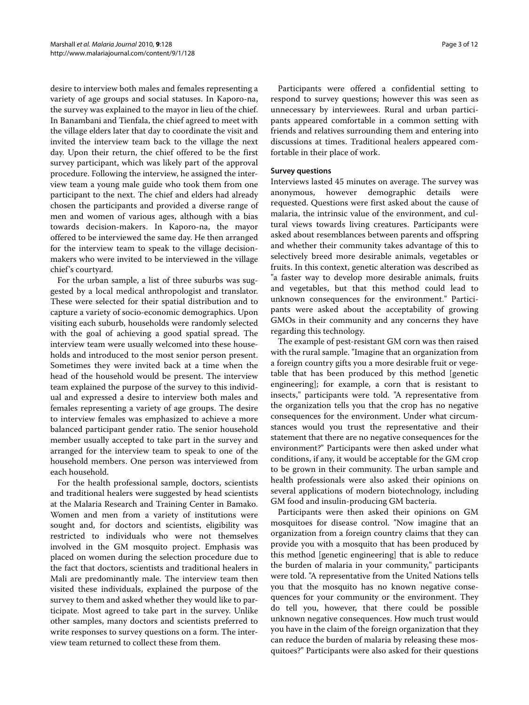desire to interview both males and females representing a variety of age groups and social statuses. In Kaporo-na, the survey was explained to the mayor in lieu of the chief. In Banambani and Tienfala, the chief agreed to meet with the village elders later that day to coordinate the visit and invited the interview team back to the village the next day. Upon their return, the chief offered to be the first survey participant, which was likely part of the approval procedure. Following the interview, he assigned the interview team a young male guide who took them from one participant to the next. The chief and elders had already chosen the participants and provided a diverse range of men and women of various ages, although with a bias towards decision-makers. In Kaporo-na, the mayor offered to be interviewed the same day. He then arranged for the interview team to speak to the village decisionmakers who were invited to be interviewed in the village chief's courtyard.

For the urban sample, a list of three suburbs was suggested by a local medical anthropologist and translator. These were selected for their spatial distribution and to capture a variety of socio-economic demographics. Upon visiting each suburb, households were randomly selected with the goal of achieving a good spatial spread. The interview team were usually welcomed into these households and introduced to the most senior person present. Sometimes they were invited back at a time when the head of the household would be present. The interview team explained the purpose of the survey to this individual and expressed a desire to interview both males and females representing a variety of age groups. The desire to interview females was emphasized to achieve a more balanced participant gender ratio. The senior household member usually accepted to take part in the survey and arranged for the interview team to speak to one of the household members. One person was interviewed from each household.

For the health professional sample, doctors, scientists and traditional healers were suggested by head scientists at the Malaria Research and Training Center in Bamako. Women and men from a variety of institutions were sought and, for doctors and scientists, eligibility was restricted to individuals who were not themselves involved in the GM mosquito project. Emphasis was placed on women during the selection procedure due to the fact that doctors, scientists and traditional healers in Mali are predominantly male. The interview team then visited these individuals, explained the purpose of the survey to them and asked whether they would like to participate. Most agreed to take part in the survey. Unlike other samples, many doctors and scientists preferred to write responses to survey questions on a form. The interview team returned to collect these from them.

Participants were offered a confidential setting to respond to survey questions; however this was seen as unnecessary by interviewees. Rural and urban participants appeared comfortable in a common setting with friends and relatives surrounding them and entering into discussions at times. Traditional healers appeared comfortable in their place of work.

#### **Survey questions**

Interviews lasted 45 minutes on average. The survey was anonymous, however demographic details were requested. Questions were first asked about the cause of malaria, the intrinsic value of the environment, and cultural views towards living creatures. Participants were asked about resemblances between parents and offspring and whether their community takes advantage of this to selectively breed more desirable animals, vegetables or fruits. In this context, genetic alteration was described as "a faster way to develop more desirable animals, fruits and vegetables, but that this method could lead to unknown consequences for the environment." Participants were asked about the acceptability of growing GMOs in their community and any concerns they have regarding this technology.

The example of pest-resistant GM corn was then raised with the rural sample. "Imagine that an organization from a foreign country gifts you a more desirable fruit or vegetable that has been produced by this method [genetic engineering]; for example, a corn that is resistant to insects," participants were told. "A representative from the organization tells you that the crop has no negative consequences for the environment. Under what circumstances would you trust the representative and their statement that there are no negative consequences for the environment?" Participants were then asked under what conditions, if any, it would be acceptable for the GM crop to be grown in their community. The urban sample and health professionals were also asked their opinions on several applications of modern biotechnology, including GM food and insulin-producing GM bacteria.

Participants were then asked their opinions on GM mosquitoes for disease control. "Now imagine that an organization from a foreign country claims that they can provide you with a mosquito that has been produced by this method [genetic engineering] that is able to reduce the burden of malaria in your community," participants were told. "A representative from the United Nations tells you that the mosquito has no known negative consequences for your community or the environment. They do tell you, however, that there could be possible unknown negative consequences. How much trust would you have in the claim of the foreign organization that they can reduce the burden of malaria by releasing these mosquitoes?" Participants were also asked for their questions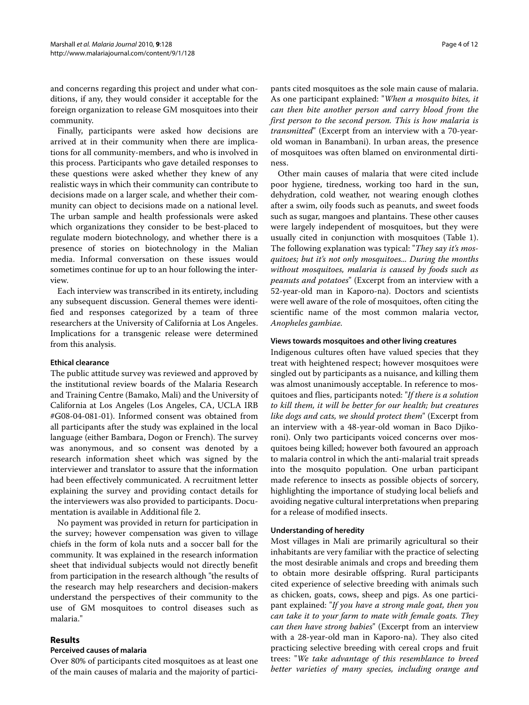and concerns regarding this project and under what conditions, if any, they would consider it acceptable for the foreign organization to release GM mosquitoes into their community.

Finally, participants were asked how decisions are arrived at in their community when there are implications for all community-members, and who is involved in this process. Participants who gave detailed responses to these questions were asked whether they knew of any realistic ways in which their community can contribute to decisions made on a larger scale, and whether their community can object to decisions made on a national level. The urban sample and health professionals were asked which organizations they consider to be best-placed to regulate modern biotechnology, and whether there is a presence of stories on biotechnology in the Malian media. Informal conversation on these issues would sometimes continue for up to an hour following the interview.

Each interview was transcribed in its entirety, including any subsequent discussion. General themes were identified and responses categorized by a team of three researchers at the University of California at Los Angeles. Implications for a transgenic release were determined from this analysis.

#### **Ethical clearance**

The public attitude survey was reviewed and approved by the institutional review boards of the Malaria Research and Training Centre (Bamako, Mali) and the University of California at Los Angeles (Los Angeles, CA, UCLA IRB #G08-04-081-01). Informed consent was obtained from all participants after the study was explained in the local language (either Bambara, Dogon or French). The survey was anonymous, and so consent was denoted by a research information sheet which was signed by the interviewer and translator to assure that the information had been effectively communicated. A recruitment letter explaining the survey and providing contact details for the interviewers was also provided to participants. Documentation is available in Additional file [2.](#page-10-7)

No payment was provided in return for participation in the survey; however compensation was given to village chiefs in the form of kola nuts and a soccer ball for the community. It was explained in the research information sheet that individual subjects would not directly benefit from participation in the research although "the results of the research may help researchers and decision-makers understand the perspectives of their community to the use of GM mosquitoes to control diseases such as malaria."

#### **Results**

#### **Perceived causes of malaria**

Over 80% of participants cited mosquitoes as at least one of the main causes of malaria and the majority of partici-

pants cited mosquitoes as the sole main cause of malaria. As one participant explained: "*When a mosquito bites, it can then bite another person and carry blood from the first person to the second person. This is how malaria is transmitted*" (Excerpt from an interview with a 70-yearold woman in Banambani). In urban areas, the presence of mosquitoes was often blamed on environmental dirtiness.

Other main causes of malaria that were cited include poor hygiene, tiredness, working too hard in the sun, dehydration, cold weather, not wearing enough clothes after a swim, oily foods such as peanuts, and sweet foods such as sugar, mangoes and plantains. These other causes were largely independent of mosquitoes, but they were usually cited in conjunction with mosquitoes (Table 1). The following explanation was typical: "*They say it's mosquitoes; but it's not only mosquitoes... During the months without mosquitoes, malaria is caused by foods such as peanuts and potatoes*" (Excerpt from an interview with a 52-year-old man in Kaporo-na). Doctors and scientists were well aware of the role of mosquitoes, often citing the scientific name of the most common malaria vector, *Anopheles gambiae*.

#### **Views towards mosquitoes and other living creatures**

Indigenous cultures often have valued species that they treat with heightened respect; however mosquitoes were singled out by participants as a nuisance, and killing them was almost unanimously acceptable. In reference to mosquitoes and flies, participants noted: "*If there is a solution to kill them, it will be better for our health; but creatures like dogs and cats, we should protect them*" (Excerpt from an interview with a 48-year-old woman in Baco Djikoroni). Only two participants voiced concerns over mosquitoes being killed; however both favoured an approach to malaria control in which the anti-malarial trait spreads into the mosquito population. One urban participant made reference to insects as possible objects of sorcery, highlighting the importance of studying local beliefs and avoiding negative cultural interpretations when preparing for a release of modified insects.

#### **Understanding of heredity**

Most villages in Mali are primarily agricultural so their inhabitants are very familiar with the practice of selecting the most desirable animals and crops and breeding them to obtain more desirable offspring. Rural participants cited experience of selective breeding with animals such as chicken, goats, cows, sheep and pigs. As one participant explained: "*If you have a strong male goat, then you can take it to your farm to mate with female goats. They can then have strong babies*" (Excerpt from an interview with a 28-year-old man in Kaporo-na). They also cited practicing selective breeding with cereal crops and fruit trees: "*We take advantage of this resemblance to breed better varieties of many species, including orange and*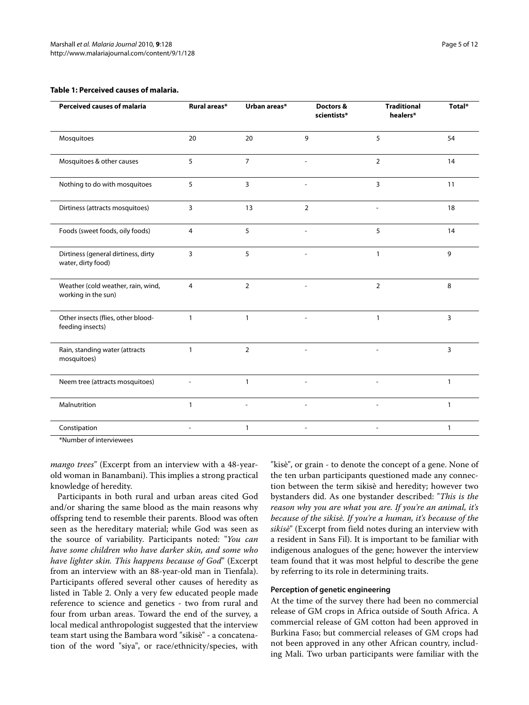#### **Table 1: Perceived causes of malaria.**

| <b>Perceived causes of malaria</b>                        | Rural areas*   | Urban areas*   | Doctors &<br>scientists* | <b>Traditional</b><br>healers* | Total*       |
|-----------------------------------------------------------|----------------|----------------|--------------------------|--------------------------------|--------------|
| Mosquitoes                                                | 20             | 20             | 9                        | 5                              | 54           |
| Mosquitoes & other causes                                 | 5              | $\overline{7}$ |                          | $\overline{2}$                 | 14           |
| Nothing to do with mosquitoes                             | 5              | 3              |                          | 3                              | 11           |
| Dirtiness (attracts mosquitoes)                           | $\overline{3}$ | 13             | $\overline{2}$           | $\overline{a}$                 | 18           |
| Foods (sweet foods, oily foods)                           | $\overline{4}$ | 5              |                          | 5                              | 14           |
| Dirtiness (general dirtiness, dirty<br>water, dirty food) | 3              | 5              |                          | $\mathbf{1}$                   | 9            |
| Weather (cold weather, rain, wind,<br>working in the sun) | 4              | $\overline{2}$ |                          | $\overline{2}$                 | 8            |
| Other insects (flies, other blood-<br>feeding insects)    | $\mathbf{1}$   | $\mathbf{1}$   |                          | $\mathbf{1}$                   | 3            |
| Rain, standing water (attracts<br>mosquitoes)             | $\mathbf{1}$   | $\overline{2}$ |                          |                                | 3            |
| Neem tree (attracts mosquitoes)                           |                | $\mathbf{1}$   |                          |                                | $\mathbf{1}$ |
| Malnutrition                                              | $\mathbf{1}$   |                |                          |                                | $\mathbf{1}$ |
| Constipation                                              |                | $\mathbf{1}$   |                          |                                | $\mathbf{1}$ |

\*Number of interviewees

*mango trees*" (Excerpt from an interview with a 48-yearold woman in Banambani). This implies a strong practical knowledge of heredity.

Participants in both rural and urban areas cited God and/or sharing the same blood as the main reasons why offspring tend to resemble their parents. Blood was often seen as the hereditary material; while God was seen as the source of variability. Participants noted: "*You can have some children who have darker skin, and some who have lighter skin. This happens because of God*" (Excerpt from an interview with an 88-year-old man in Tienfala). Participants offered several other causes of heredity as listed in Table 2. Only a very few educated people made reference to science and genetics - two from rural and four from urban areas. Toward the end of the survey, a local medical anthropologist suggested that the interview team start using the Bambara word "sikisè" - a concatenation of the word "siya", or race/ethnicity/species, with

"kisè", or grain - to denote the concept of a gene. None of the ten urban participants questioned made any connection between the term sikisè and heredity; however two bystanders did. As one bystander described: "*This is the reason why you are what you are. If you're an animal, it's because of the sikisè. If you're a human, it's because of the sikisè*" (Excerpt from field notes during an interview with a resident in Sans Fil). It is important to be familiar with indigenous analogues of the gene; however the interview team found that it was most helpful to describe the gene by referring to its role in determining traits.

#### **Perception of genetic engineering**

At the time of the survey there had been no commercial release of GM crops in Africa outside of South Africa. A commercial release of GM cotton had been approved in Burkina Faso; but commercial releases of GM crops had not been approved in any other African country, including Mali. Two urban participants were familiar with the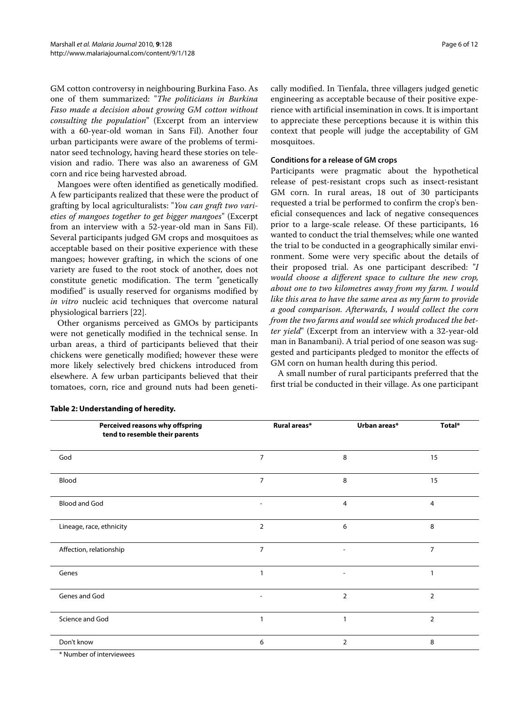GM cotton controversy in neighbouring Burkina Faso. As one of them summarized: "*The politicians in Burkina Faso made a decision about growing GM cotton without consulting the population*" (Excerpt from an interview with a 60-year-old woman in Sans Fil). Another four urban participants were aware of the problems of terminator seed technology, having heard these stories on television and radio. There was also an awareness of GM corn and rice being harvested abroad.

Mangoes were often identified as genetically modified. A few participants realized that these were the product of grafting by local agriculturalists: "*You can graft two varieties of mangoes together to get bigger mangoes*" (Excerpt from an interview with a 52-year-old man in Sans Fil). Several participants judged GM crops and mosquitoes as acceptable based on their positive experience with these mangoes; however grafting, in which the scions of one variety are fused to the root stock of another, does not constitute genetic modification. The term "genetically modified" is usually reserved for organisms modified by *in vitro* nucleic acid techniques that overcome natural physiological barriers [[22\]](#page-11-13).

Other organisms perceived as GMOs by participants were not genetically modified in the technical sense. In urban areas, a third of participants believed that their chickens were genetically modified; however these were more likely selectively bred chickens introduced from elsewhere. A few urban participants believed that their tomatoes, corn, rice and ground nuts had been geneti-

cally modified. In Tienfala, three villagers judged genetic engineering as acceptable because of their positive experience with artificial insemination in cows. It is important to appreciate these perceptions because it is within this context that people will judge the acceptability of GM mosquitoes.

#### **Conditions for a release of GM crops**

Participants were pragmatic about the hypothetical release of pest-resistant crops such as insect-resistant GM corn. In rural areas, 18 out of 30 participants requested a trial be performed to confirm the crop's beneficial consequences and lack of negative consequences prior to a large-scale release. Of these participants, 16 wanted to conduct the trial themselves; while one wanted the trial to be conducted in a geographically similar environment. Some were very specific about the details of their proposed trial. As one participant described: "*I would choose a different space to culture the new crop, about one to two kilometres away from my farm. I would like this area to have the same area as my farm to provide a good comparison. Afterwards, I would collect the corn from the two farms and would see which produced the better yield*" (Excerpt from an interview with a 32-year-old man in Banambani). A trial period of one season was suggested and participants pledged to monitor the effects of GM corn on human health during this period.

A small number of rural participants preferred that the first trial be conducted in their village. As one participant

| Perceived reasons why offspring<br>tend to resemble their parents | Rural areas*             | Urban areas*             | Total*         |
|-------------------------------------------------------------------|--------------------------|--------------------------|----------------|
| God                                                               | $\overline{7}$           | 8                        | 15             |
| Blood                                                             | $\overline{7}$           | 8                        | 15             |
| <b>Blood and God</b>                                              |                          | 4                        | 4              |
| Lineage, race, ethnicity                                          | $\overline{2}$           | 6                        | 8              |
| Affection, relationship                                           | $\overline{7}$           | $\overline{\phantom{a}}$ | $\overline{7}$ |
| Genes                                                             |                          |                          | 1              |
| Genes and God                                                     | $\overline{\phantom{a}}$ | $\overline{2}$           | $\overline{2}$ |
| Science and God                                                   | $\mathbf{1}$             | 1                        | $\overline{2}$ |
| Don't know                                                        | 6                        | 2                        | 8              |

#### **Table 2: Understanding of heredity.**

\* Number of interviewees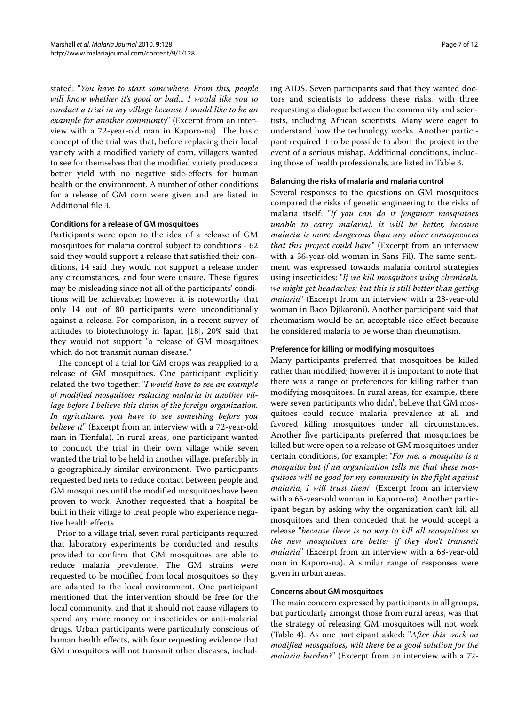stated: "*You have to start somewhere. From this, people will know whether it's good or bad... I would like you to conduct a trial in my village because I would like to be an example for another community*" (Excerpt from an interview with a 72-year-old man in Kaporo-na). The basic concept of the trial was that, before replacing their local variety with a modified variety of corn, villagers wanted to see for themselves that the modified variety produces a better yield with no negative side-effects for human health or the environment. A number of other conditions for a release of GM corn were given and are listed in Additional file [3](#page-10-8).

#### **Conditions for a release of GM mosquitoes**

Participants were open to the idea of a release of GM mosquitoes for malaria control subject to conditions - 62 said they would support a release that satisfied their conditions, 14 said they would not support a release under any circumstances, and four were unsure. These figures may be misleading since not all of the participants' conditions will be achievable; however it is noteworthy that only 14 out of 80 participants were unconditionally against a release. For comparison, in a recent survey of attitudes to biotechnology in Japan [[18](#page-11-9)], 20% said that they would not support "a release of GM mosquitoes which do not transmit human disease."

The concept of a trial for GM crops was reapplied to a release of GM mosquitoes. One participant explicitly related the two together: "*I would have to see an example of modified mosquitoes reducing malaria in another village before I believe this claim of the foreign organization. In agriculture, you have to see something before you believe it*" (Excerpt from an interview with a 72-year-old man in Tienfala). In rural areas, one participant wanted to conduct the trial in their own village while seven wanted the trial to be held in another village, preferably in a geographically similar environment. Two participants requested bed nets to reduce contact between people and GM mosquitoes until the modified mosquitoes have been proven to work. Another requested that a hospital be built in their village to treat people who experience negative health effects.

Prior to a village trial, seven rural participants required that laboratory experiments be conducted and results provided to confirm that GM mosquitoes are able to reduce malaria prevalence. The GM strains were requested to be modified from local mosquitoes so they are adapted to the local environment. One participant mentioned that the intervention should be free for the local community, and that it should not cause villagers to spend any more money on insecticides or anti-malarial drugs. Urban participants were particularly conscious of human health effects, with four requesting evidence that GM mosquitoes will not transmit other diseases, including AIDS. Seven participants said that they wanted doctors and scientists to address these risks, with three requesting a dialogue between the community and scientists, including African scientists. Many were eager to understand how the technology works. Another participant required it to be possible to abort the project in the event of a serious mishap. Additional conditions, including those of health professionals, are listed in Table 3.

#### **Balancing the risks of malaria and malaria control**

Several responses to the questions on GM mosquitoes compared the risks of genetic engineering to the risks of malaria itself: "*If you can do it [engineer mosquitoes unable to carry malaria], it will be better, because malaria is more dangerous than any other consequences that this project could have*" (Excerpt from an interview with a 36-year-old woman in Sans Fil). The same sentiment was expressed towards malaria control strategies using insecticides: "*If we kill mosquitoes using chemicals, we might get headaches; but this is still better than getting malaria*" (Excerpt from an interview with a 28-year-old woman in Baco Djikoroni). Another participant said that rheumatism would be an acceptable side-effect because he considered malaria to be worse than rheumatism.

#### **Preference for killing or modifying mosquitoes**

Many participants preferred that mosquitoes be killed rather than modified; however it is important to note that there was a range of preferences for killing rather than modifying mosquitoes. In rural areas, for example, there were seven participants who didn't believe that GM mosquitoes could reduce malaria prevalence at all and favored killing mosquitoes under all circumstances. Another five participants preferred that mosquitoes be killed but were open to a release of GM mosquitoes under certain conditions, for example: "*For me, a mosquito is a mosquito; but if an organization tells me that these mosquitoes will be good for my community in the fight against malaria, I will trust them*" (Excerpt from an interview with a 65-year-old woman in Kaporo-na). Another participant began by asking why the organization can't kill all mosquitoes and then conceded that he would accept a release "*because there is no way to kill all mosquitoes so the new mosquitoes are better if they don't transmit malaria*" (Excerpt from an interview with a 68-year-old man in Kaporo-na). A similar range of responses were given in urban areas.

#### **Concerns about GM mosquitoes**

The main concern expressed by participants in all groups, but particularly amongst those from rural areas, was that the strategy of releasing GM mosquitoes will not work (Table 4). As one participant asked: "*After this work on modified mosquitoes, will there be a good solution for the malaria burden?*" (Excerpt from an interview with a 72-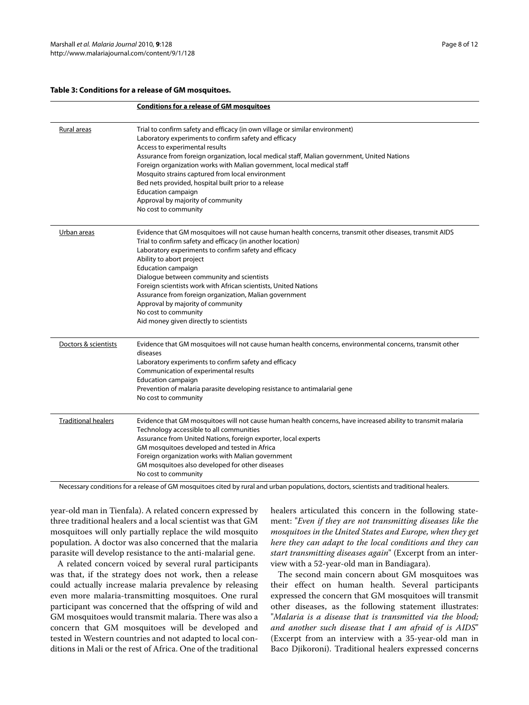#### **Table 3: Conditions for a release of GM mosquitoes.**

|                            | <b>Conditions for a release of GM mosquitoes</b>                                                                                                                                                                                                                                                                                                                                                                                                                                                                                                                          |
|----------------------------|---------------------------------------------------------------------------------------------------------------------------------------------------------------------------------------------------------------------------------------------------------------------------------------------------------------------------------------------------------------------------------------------------------------------------------------------------------------------------------------------------------------------------------------------------------------------------|
| <u>Rural areas</u>         | Trial to confirm safety and efficacy (in own village or similar environment)<br>Laboratory experiments to confirm safety and efficacy<br>Access to experimental results<br>Assurance from foreign organization, local medical staff, Malian government, United Nations<br>Foreign organization works with Malian government, local medical staff<br>Mosquito strains captured from local environment<br>Bed nets provided, hospital built prior to a release<br><b>Education campaign</b><br>Approval by majority of community<br>No cost to community                    |
| Urban areas                | Evidence that GM mosquitoes will not cause human health concerns, transmit other diseases, transmit AIDS<br>Trial to confirm safety and efficacy (in another location)<br>Laboratory experiments to confirm safety and efficacy<br>Ability to abort project<br><b>Education campaign</b><br>Dialogue between community and scientists<br>Foreign scientists work with African scientists, United Nations<br>Assurance from foreign organization, Malian government<br>Approval by majority of community<br>No cost to community<br>Aid money given directly to scientists |
| Doctors & scientists       | Evidence that GM mosquitoes will not cause human health concerns, environmental concerns, transmit other<br>diseases<br>Laboratory experiments to confirm safety and efficacy<br>Communication of experimental results<br><b>Education campaign</b><br>Prevention of malaria parasite developing resistance to antimalarial gene<br>No cost to community                                                                                                                                                                                                                  |
| <b>Traditional healers</b> | Evidence that GM mosquitoes will not cause human health concerns, have increased ability to transmit malaria<br>Technology accessible to all communities<br>Assurance from United Nations, foreign exporter, local experts<br>GM mosquitoes developed and tested in Africa<br>Foreign organization works with Malian government<br>GM mosquitoes also developed for other diseases<br>No cost to community                                                                                                                                                                |

Necessary conditions for a release of GM mosquitoes cited by rural and urban populations, doctors, scientists and traditional healers.

year-old man in Tienfala). A related concern expressed by three traditional healers and a local scientist was that GM mosquitoes will only partially replace the wild mosquito population. A doctor was also concerned that the malaria parasite will develop resistance to the anti-malarial gene.

A related concern voiced by several rural participants was that, if the strategy does not work, then a release could actually increase malaria prevalence by releasing even more malaria-transmitting mosquitoes. One rural participant was concerned that the offspring of wild and GM mosquitoes would transmit malaria. There was also a concern that GM mosquitoes will be developed and tested in Western countries and not adapted to local conditions in Mali or the rest of Africa. One of the traditional healers articulated this concern in the following statement: "*Even if they are not transmitting diseases like the mosquitoes in the United States and Europe, when they get here they can adapt to the local conditions and they can start transmitting diseases again*" (Excerpt from an interview with a 52-year-old man in Bandiagara).

The second main concern about GM mosquitoes was their effect on human health. Several participants expressed the concern that GM mosquitoes will transmit other diseases, as the following statement illustrates: "*Malaria is a disease that is transmitted via the blood; and another such disease that I am afraid of is AIDS*" (Excerpt from an interview with a 35-year-old man in Baco Djikoroni). Traditional healers expressed concerns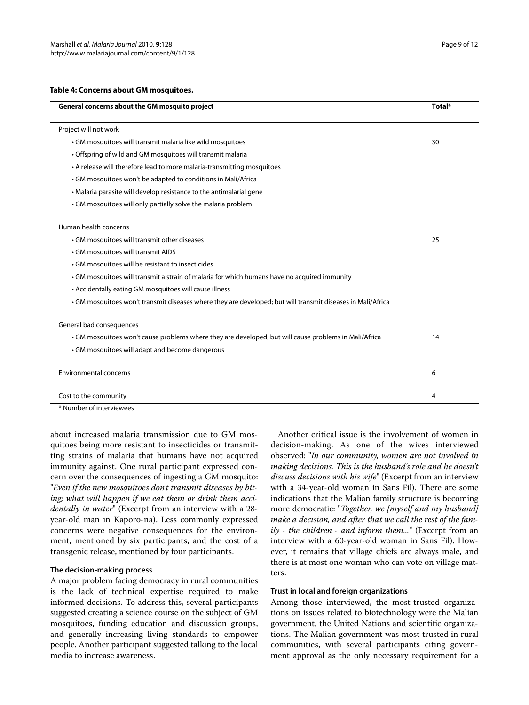#### **Table 4: Concerns about GM mosquitoes.**

| General concerns about the GM mosquito project                                                              | Total* |  |
|-------------------------------------------------------------------------------------------------------------|--------|--|
| Project will not work                                                                                       |        |  |
| . GM mosquitoes will transmit malaria like wild mosquitoes                                                  | 30     |  |
| • Offspring of wild and GM mosquitoes will transmit malaria                                                 |        |  |
| • A release will therefore lead to more malaria-transmitting mosquitoes                                     |        |  |
| • GM mosquitoes won't be adapted to conditions in Mali/Africa                                               |        |  |
| . Malaria parasite will develop resistance to the antimalarial gene                                         |        |  |
| . GM mosquitoes will only partially solve the malaria problem                                               |        |  |
| Human health concerns                                                                                       |        |  |
|                                                                                                             |        |  |
| • GM mosquitoes will transmit other diseases                                                                | 25     |  |
| . GM mosquitoes will transmit AIDS                                                                          |        |  |
| GM mosquitoes will be resistant to insecticides                                                             |        |  |
| • GM mosquitoes will transmit a strain of malaria for which humans have no acquired immunity                |        |  |
| • Accidentally eating GM mosquitoes will cause illness                                                      |        |  |
| • GM mosquitoes won't transmit diseases where they are developed; but will transmit diseases in Mali/Africa |        |  |
| General bad consequences                                                                                    |        |  |
| • GM mosquitoes won't cause problems where they are developed; but will cause problems in Mali/Africa       |        |  |
| • GM mosquitoes will adapt and become dangerous                                                             |        |  |
|                                                                                                             |        |  |
| <b>Environmental concerns</b>                                                                               | 6      |  |
|                                                                                                             |        |  |
| Cost to the community                                                                                       | 4      |  |

\* Number of interviewees

about increased malaria transmission due to GM mosquitoes being more resistant to insecticides or transmitting strains of malaria that humans have not acquired immunity against. One rural participant expressed concern over the consequences of ingesting a GM mosquito: "*Even if the new mosquitoes don't transmit diseases by biting; what will happen if we eat them or drink them accidentally in water*" (Excerpt from an interview with a 28 year-old man in Kaporo-na). Less commonly expressed concerns were negative consequences for the environment, mentioned by six participants, and the cost of a transgenic release, mentioned by four participants.

#### **The decision-making process**

A major problem facing democracy in rural communities is the lack of technical expertise required to make informed decisions. To address this, several participants suggested creating a science course on the subject of GM mosquitoes, funding education and discussion groups, and generally increasing living standards to empower people. Another participant suggested talking to the local media to increase awareness.

Another critical issue is the involvement of women in decision-making. As one of the wives interviewed observed: "*In our community, women are not involved in making decisions. This is the husband's role and he doesn't discuss decisions with his wife*" (Excerpt from an interview with a 34-year-old woman in Sans Fil). There are some indications that the Malian family structure is becoming more democratic: "*Together, we [myself and my husband] make a decision, and after that we call the rest of the family - the children - and inform them...*" (Excerpt from an interview with a 60-year-old woman in Sans Fil). However, it remains that village chiefs are always male, and there is at most one woman who can vote on village matters.

#### **Trust in local and foreign organizations**

Among those interviewed, the most-trusted organizations on issues related to biotechnology were the Malian government, the United Nations and scientific organizations. The Malian government was most trusted in rural communities, with several participants citing government approval as the only necessary requirement for a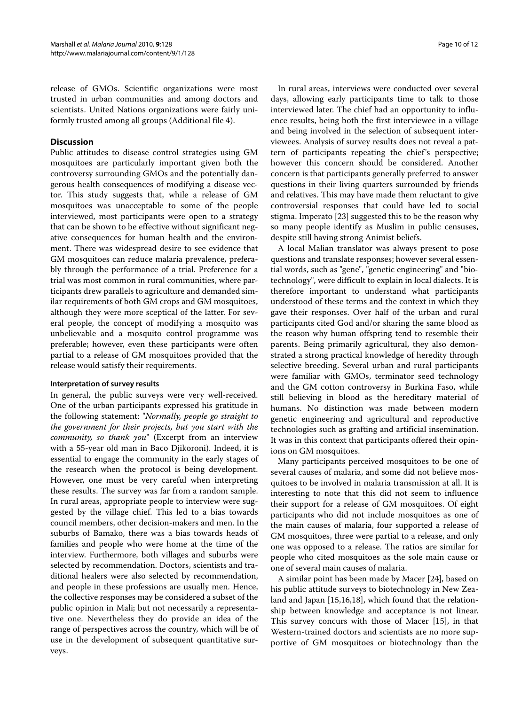release of GMOs. Scientific organizations were most trusted in urban communities and among doctors and scientists. United Nations organizations were fairly uniformly trusted among all groups (Additional file [4](#page-10-9)).

#### **Discussion**

Public attitudes to disease control strategies using GM mosquitoes are particularly important given both the controversy surrounding GMOs and the potentially dangerous health consequences of modifying a disease vector. This study suggests that, while a release of GM mosquitoes was unacceptable to some of the people interviewed, most participants were open to a strategy that can be shown to be effective without significant negative consequences for human health and the environment. There was widespread desire to see evidence that GM mosquitoes can reduce malaria prevalence, preferably through the performance of a trial. Preference for a trial was most common in rural communities, where participants drew parallels to agriculture and demanded similar requirements of both GM crops and GM mosquitoes, although they were more sceptical of the latter. For several people, the concept of modifying a mosquito was unbelievable and a mosquito control programme was preferable; however, even these participants were often partial to a release of GM mosquitoes provided that the release would satisfy their requirements.

#### **Interpretation of survey results**

In general, the public surveys were very well-received. One of the urban participants expressed his gratitude in the following statement: "*Normally, people go straight to the government for their projects, but you start with the community, so thank you*" (Excerpt from an interview with a 55-year old man in Baco Djikoroni). Indeed, it is essential to engage the community in the early stages of the research when the protocol is being development. However, one must be very careful when interpreting these results. The survey was far from a random sample. In rural areas, appropriate people to interview were suggested by the village chief. This led to a bias towards council members, other decision-makers and men. In the suburbs of Bamako, there was a bias towards heads of families and people who were home at the time of the interview. Furthermore, both villages and suburbs were selected by recommendation. Doctors, scientists and traditional healers were also selected by recommendation, and people in these professions are usually men. Hence, the collective responses may be considered a subset of the public opinion in Mali; but not necessarily a representative one. Nevertheless they do provide an idea of the range of perspectives across the country, which will be of use in the development of subsequent quantitative surveys.

In rural areas, interviews were conducted over several days, allowing early participants time to talk to those interviewed later. The chief had an opportunity to influence results, being both the first interviewee in a village and being involved in the selection of subsequent interviewees. Analysis of survey results does not reveal a pattern of participants repeating the chief's perspective; however this concern should be considered. Another concern is that participants generally preferred to answer questions in their living quarters surrounded by friends and relatives. This may have made them reluctant to give controversial responses that could have led to social stigma. Imperato [[23\]](#page-11-14) suggested this to be the reason why so many people identify as Muslim in public censuses, despite still having strong Animist beliefs.

A local Malian translator was always present to pose questions and translate responses; however several essential words, such as "gene", "genetic engineering" and "biotechnology", were difficult to explain in local dialects. It is therefore important to understand what participants understood of these terms and the context in which they gave their responses. Over half of the urban and rural participants cited God and/or sharing the same blood as the reason why human offspring tend to resemble their parents. Being primarily agricultural, they also demonstrated a strong practical knowledge of heredity through selective breeding. Several urban and rural participants were familiar with GMOs, terminator seed technology and the GM cotton controversy in Burkina Faso, while still believing in blood as the hereditary material of humans. No distinction was made between modern genetic engineering and agricultural and reproductive technologies such as grafting and artificial insemination. It was in this context that participants offered their opinions on GM mosquitoes.

Many participants perceived mosquitoes to be one of several causes of malaria, and some did not believe mosquitoes to be involved in malaria transmission at all. It is interesting to note that this did not seem to influence their support for a release of GM mosquitoes. Of eight participants who did not include mosquitoes as one of the main causes of malaria, four supported a release of GM mosquitoes, three were partial to a release, and only one was opposed to a release. The ratios are similar for people who cited mosquitoes as the sole main cause or one of several main causes of malaria.

A similar point has been made by Macer [\[24](#page-11-15)], based on his public attitude surveys to biotechnology in New Zealand and Japan [[15,](#page-11-7)[16,](#page-11-16)[18\]](#page-11-9), which found that the relationship between knowledge and acceptance is not linear. This survey concurs with those of Macer [\[15](#page-11-7)], in that Western-trained doctors and scientists are no more supportive of GM mosquitoes or biotechnology than the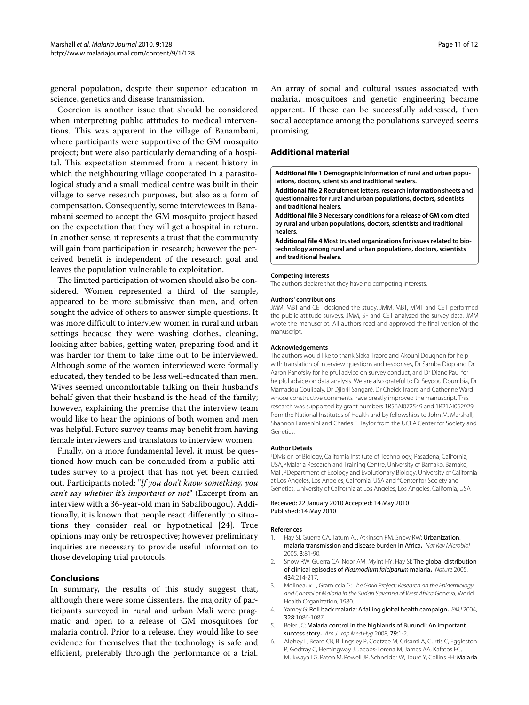general population, despite their superior education in science, genetics and disease transmission.

Coercion is another issue that should be considered when interpreting public attitudes to medical interventions. This was apparent in the village of Banambani, where participants were supportive of the GM mosquito project; but were also particularly demanding of a hospital. This expectation stemmed from a recent history in which the neighbouring village cooperated in a parasitological study and a small medical centre was built in their village to serve research purposes, but also as a form of compensation. Consequently, some interviewees in Banambani seemed to accept the GM mosquito project based on the expectation that they will get a hospital in return. In another sense, it represents a trust that the community will gain from participation in research; however the perceived benefit is independent of the research goal and leaves the population vulnerable to exploitation.

The limited participation of women should also be considered. Women represented a third of the sample, appeared to be more submissive than men, and often sought the advice of others to answer simple questions. It was more difficult to interview women in rural and urban settings because they were washing clothes, cleaning, looking after babies, getting water, preparing food and it was harder for them to take time out to be interviewed. Although some of the women interviewed were formally educated, they tended to be less well-educated than men. Wives seemed uncomfortable talking on their husband's behalf given that their husband is the head of the family; however, explaining the premise that the interview team would like to hear the opinions of both women and men was helpful. Future survey teams may benefit from having female interviewers and translators to interview women.

Finally, on a more fundamental level, it must be questioned how much can be concluded from a public attitudes survey to a project that has not yet been carried out. Participants noted: "*If you don't know something, you can't say whether it's important or not*" (Excerpt from an interview with a 36-year-old man in Sabalibougou). Additionally, it is known that people react differently to situations they consider real or hypothetical [[24\]](#page-11-15). True opinions may only be retrospective; however preliminary inquiries are necessary to provide useful information to those developing trial protocols.

#### **Conclusions**

In summary, the results of this study suggest that, although there were some dissenters, the majority of participants surveyed in rural and urban Mali were pragmatic and open to a release of GM mosquitoes for malaria control. Prior to a release, they would like to see evidence for themselves that the technology is safe and efficient, preferably through the performance of a trial.

An array of social and cultural issues associated with malaria, mosquitoes and genetic engineering became apparent. If these can be successfully addressed, then social acceptance among the populations surveyed seems promising.

#### **Additional material**

<span id="page-10-6"></span>**[Additional file 1](http://www.biomedcentral.com/content/supplementary/1475-2875-9-128-S1.DOC) Demographic information of rural and urban populations, doctors, scientists and traditional healers.**

<span id="page-10-7"></span>**[Additional file 2](http://www.biomedcentral.com/content/supplementary/1475-2875-9-128-S2.PDF) Recruitment letters, research information sheets and questionnaires for rural and urban populations, doctors, scientists and traditional healers.**

<span id="page-10-8"></span>**[Additional file 3](http://www.biomedcentral.com/content/supplementary/1475-2875-9-128-S3.DOC) Necessary conditions for a release of GM corn cited by rural and urban populations, doctors, scientists and traditional healers.**

<span id="page-10-9"></span>**[Additional file 4](http://www.biomedcentral.com/content/supplementary/1475-2875-9-128-S4.DOC) Most trusted organizations for issues related to biotechnology among rural and urban populations, doctors, scientists and traditional healers.**

#### **Competing interests**

The authors declare that they have no competing interests.

#### **Authors' contributions**

JMM, MBT and CET designed the study. JMM, MBT, MMT and CET performed the public attitude surveys. JMM, SF and CET analyzed the survey data. JMM wrote the manuscript. All authors read and approved the final version of the manuscript.

#### **Acknowledgements**

The authors would like to thank Siaka Traore and Akouni Dougnon for help with translation of interview questions and responses, Dr Samba Diop and Dr Aaron Panofsky for helpful advice on survey conduct, and Dr Diane Paul for helpful advice on data analysis. We are also grateful to Dr Seydou Doumbia, Dr Mamadou Coulibaly, Dr Djibril Sangaré, Dr Cheick Traore and Catherine Ward whose constructive comments have greatly improved the manuscript. This research was supported by grant numbers 1R56AI072549 and 1R21AI062929 from the National Institutes of Health and by fellowships to John M. Marshall, Shannon Famenini and Charles E. Taylor from the UCLA Center for Society and Genetics.

#### **Author Details**

1Division of Biology, California Institute of Technology, Pasadena, California, USA, 2Malaria Research and Training Centre, University of Bamako, Bamako, Mali, 3Department of Ecology and Evolutionary Biology, University of California at Los Angeles, Los Angeles, California, USA and 4Center for Society and Genetics, University of California at Los Angeles, Los Angeles, California, USA

#### Received: 22 January 2010 Accepted: 14 May 2010 Published: 14 May 2010

#### **References**

- <span id="page-10-0"></span>1. Hay SI, Guerra CA, Tatum AJ, Atkinson PM, Snow RW: Urbanization, malaria transmission and disease burden in Africa**.** Nat Rev Microbiol 2005, 3:81-90.
- <span id="page-10-1"></span>2. Snow RW, Guerra CA, Noor AM, Myint HY, Hay SI: The global distribution of clinical episodes of Plasmodium falciparum malaria**[.](http://www.ncbi.nlm.nih.gov/entrez/query.fcgi?cmd=Retrieve&db=PubMed&dopt=Abstract&list_uids=15759000)** Nature 2005, 434:214-217.
- <span id="page-10-2"></span>3. Molineaux L, Gramiccia G: The Garki Project: Research on the Epidemiology and Control of Malaria in the Sudan Savanna of West Africa Geneva, World Health Organization; 1980.
- <span id="page-10-3"></span>4. Yamey G: Roll back malaria: A failing global health campaign**[.](http://www.ncbi.nlm.nih.gov/entrez/query.fcgi?cmd=Retrieve&db=PubMed&dopt=Abstract&list_uids=15130956)** BMJ 2004, 328:1086-1087.
- <span id="page-10-4"></span>5. Beier JC: Malaria control in the highlands of Burundi: An important success story**[.](http://www.ncbi.nlm.nih.gov/entrez/query.fcgi?cmd=Retrieve&db=PubMed&dopt=Abstract&list_uids=18606754)** Am J Trop Med Hyg 2008, 79:1-2.
- <span id="page-10-5"></span>6. Alphey L, Beard CB, Billingsley P, Coetzee M, Crisanti A, Curtis C, Eggleston P, Godfray C, Hemingway J, Jacobs-Lorena M, James AA, Kafatos FC, Mukwaya LG, Paton M, Powell JR, Schneider W, Touré Y, Collins FH: Malaria